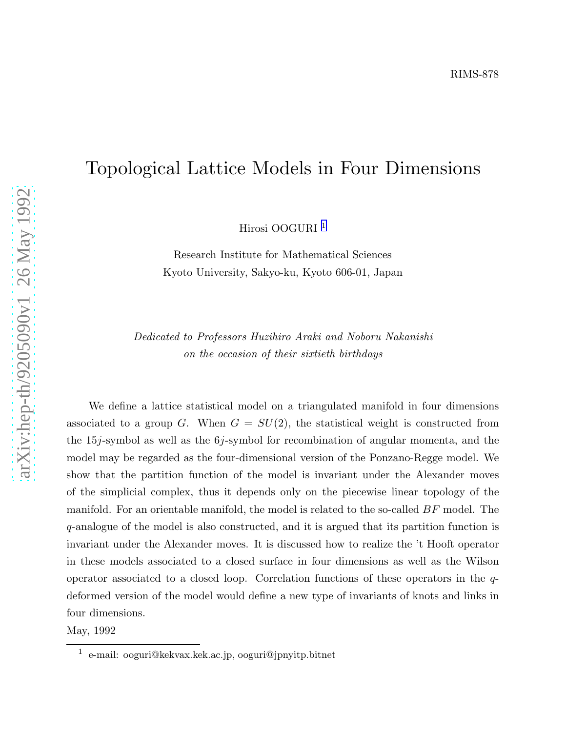## Topological Lattice Models in Four Dimensions

Hirosi OOGURI 1

Research Institute for Mathematical Sciences Kyoto University, Sakyo-ku, Kyoto 606-01, Japan

Dedicated to Professors Huzihiro Araki and Noboru Nakanish i on the occasion of their sixtieth birthdays

We define a lattice statistical model on a triangulated manifold in four dimensions associated to a group G. When  $G = SU(2)$ , the statistical weight is constructed from the 15*j*-symbol as well as the 6*j*-symbol for recombination of angular momenta, and the model may be regarded as the four-dimensional version of the Ponzano-Regge model. We show that the partition function of the model is invariant under the Alexander moves of the simplicial complex, thus it depends only on the piecewise linear topology of the manifold. For an orientable manifold, the model is related to the so-called  $BF$  model. The q-analogue of the model is also constructed, and it is argued that its partition function is invariant under the Alexander moves. It is discussed how to realize the 't Hooft operator in these models associated to a closed surface in four dimensions as well as the Wilson operator associated to a closed loop. Correlation functions of these operators in the qdeformed version of the model would define a new type of invariants of knots and links in four dimensions.

May, 1992

<sup>1</sup> e-mail: ooguri@kekvax.kek.ac.jp, ooguri@jpnyitp.bitne t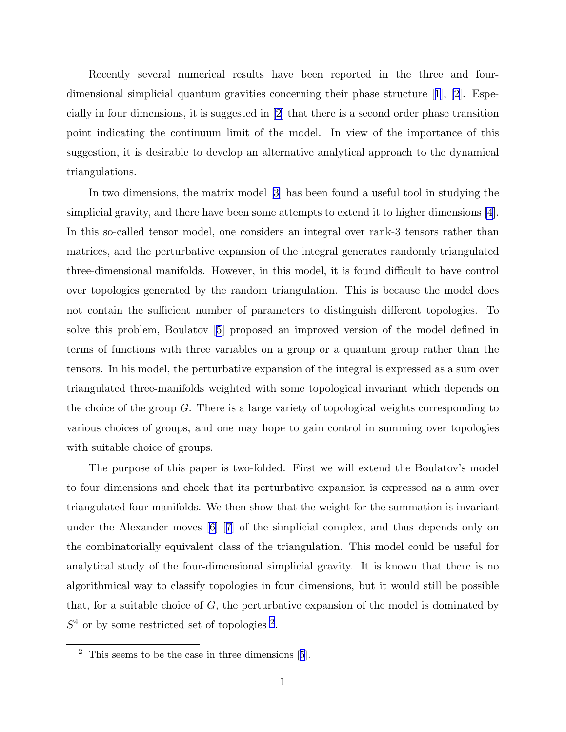Recently several numerical results have been reported in the three and fourdimensional simplicial quantum gravities concerning their phase structure[[1\]](#page-13-0), [\[2](#page-13-0)]. Especially in four dimensions, it is suggested in [\[2](#page-13-0)] that there is a second order phase transition point indicating the continuum limit of the model. In view of the importance of this suggestion, it is desirable to develop an alternative analytical approach to the dynamical triangulations.

In two dimensions, the matrix model [\[3](#page-13-0)] has been found a useful tool in studying the simplicial gravity, and there have been some attempts to extend it to higher dimensions [\[4](#page-13-0)]. In this so-called tensor model, one considers an integral over rank-3 tensors rather than matrices, and the perturbative expansion of the integral generates randomly triangulated three-dimensional manifolds. However, in this model, it is found difficult to have control over topologies generated by the random triangulation. This is because the model does not contain the sufficient number of parameters to distinguish different topologies. To solve this problem, Boulatov [\[5](#page-13-0)] proposed an improved version of the model defined in terms of functions with three variables on a group or a quantum group rather than the tensors. In his model, the perturbative expansion of the integral is expressed as a sum over triangulated three-manifolds weighted with some topological invariant which depends on the choice of the group G. There is a large variety of topological weights corresponding to various choices of groups, and one may hope to gain control in summing over topologies with suitable choice of groups.

The purpose of this paper is two-folded. First we will extend the Boulatov's model to four dimensions and check that its perturbative expansion is expressed as a sum over triangulated four-manifolds. We then show that the weight for the summation is invariant under the Alexander moves[[6\]](#page-13-0) [[7\]](#page-13-0) of the simplicial complex, and thus depends only on the combinatorially equivalent class of the triangulation. This model could be useful for analytical study of the four-dimensional simplicial gravity. It is known that there is no algorithmical way to classify topologies in four dimensions, but it would still be possible that, for a suitable choice of  $G$ , the perturbative expansion of the model is dominated by  $S<sup>4</sup>$  or by some restricted set of topologies <sup>2</sup>.

 $2$ This seems to be the case in three dimensions [[5](#page-13-0)].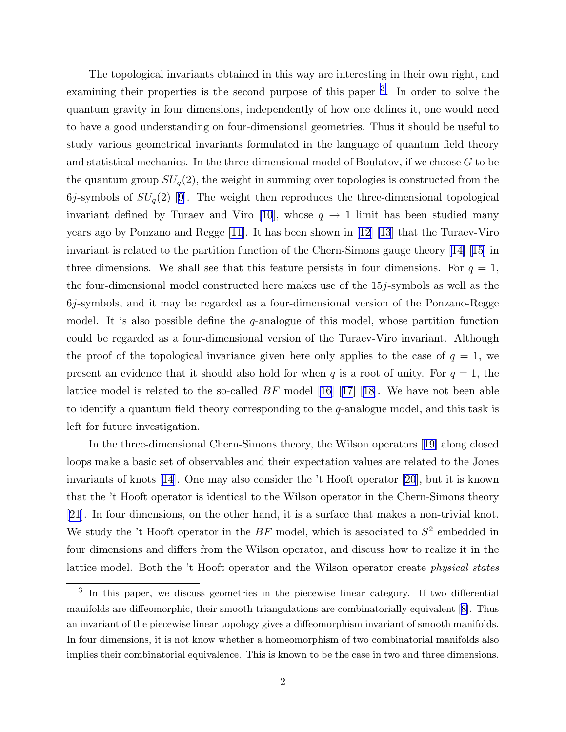The topological invariants obtained in this way are interesting in their own right, and examining their properties is the second purpose of this paper<sup>3</sup>. In order to solve the quantum gravity in four dimensions, independently of how one defines it, one would need to have a good understanding on four-dimensional geometries. Thus it should be useful to study various geometrical invariants formulated in the language of quantum field theory and statistical mechanics. In the three-dimensional model of Boulatov, if we choose G to be the quantum group  $SU_q(2)$ , the weight in summing over topologies is constructed from the 6j-symbolsof  $SU_q(2)$  [[9\]](#page-13-0). The weight then reproduces the three-dimensional topological invariant defined by Turaev and Viro [\[10](#page-13-0)], whose  $q \to 1$  limit has been studied many years ago by Ponzano and Regge [\[11](#page-13-0)]. It has been shown in [\[12](#page-13-0)] [\[13](#page-13-0)] that the Turaev-Viro invariant is related to the partition function of the Chern-Simons gauge theory[[14\] \[15](#page-13-0)] in three dimensions. We shall see that this feature persists in four dimensions. For  $q = 1$ , the four-dimensional model constructed here makes use of the 15j-symbols as well as the 6j-symbols, and it may be regarded as a four-dimensional version of the Ponzano-Regge model. It is also possible define the  $q$ -analogue of this model, whose partition function could be regarded as a four-dimensional version of the Turaev-Viro invariant. Although the proof of the topological invariance given here only applies to the case of  $q = 1$ , we present an evidence that it should also hold for when q is a root of unity. For  $q = 1$ , the lattice model is related to the so-called BF model[[16\]](#page-13-0) [[17\] \[18](#page-13-0)]. We have not been able to identify a quantum field theory corresponding to the q-analogue model, and this task is left for future investigation.

In the three-dimensional Chern-Simons theory, the Wilson operators[[19\]](#page-13-0) along closed loops make a basic set of observables and their expectation values are related to the Jones invariants of knots[[14\]](#page-13-0). One may also consider the 't Hooft operator [\[20](#page-13-0)], but it is known that the 't Hooft operator is identical to the Wilson operator in the Chern-Simons theory [\[21](#page-13-0)]. In four dimensions, on the other hand, it is a surface that makes a non-trivial knot. We study the 't Hooft operator in the  $BF$  model, which is associated to  $S^2$  embedded in four dimensions and differs from the Wilson operator, and discuss how to realize it in the lattice model. Both the 't Hooft operator and the Wilson operator create physical states

<sup>&</sup>lt;sup>3</sup> In this paper, we discuss geometries in the piecewise linear category. If two differential manifolds are diffeomorphic, their smooth triangulations are combinatorially equivalent [\[8\]](#page-13-0). Thus an invariant of the piecewise linear topology gives a diffeomorphism invariant of smooth manifolds. In four dimensions, it is not know whether a homeomorphism of two combinatorial manifolds also implies their combinatorial equivalence. This is known to be the case in two and three dimensions.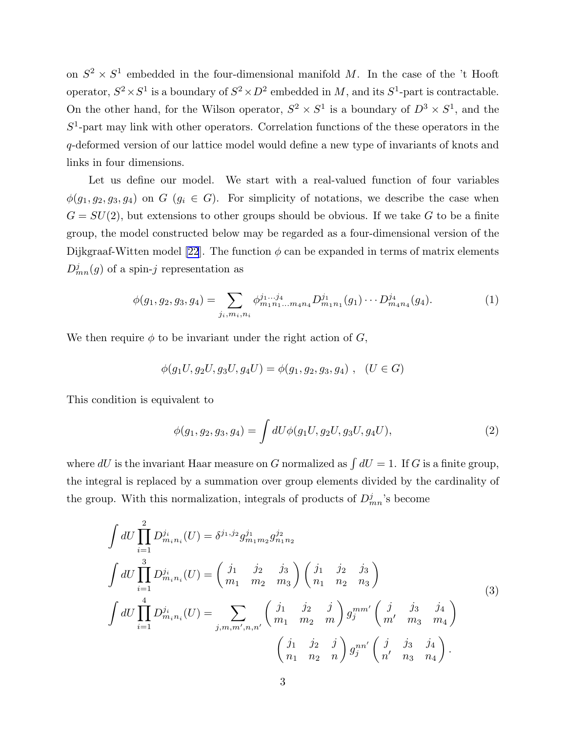<span id="page-3-0"></span>on  $S^2 \times S^1$  embedded in the four-dimensional manifold M. In the case of the 't Hooft operator,  $S^2 \times S^1$  is a boundary of  $S^2 \times D^2$  embedded in M, and its  $S^1$ -part is contractable. On the other hand, for the Wilson operator,  $S^2 \times S^1$  is a boundary of  $D^3 \times S^1$ , and the  $S<sup>1</sup>$ -part may link with other operators. Correlation functions of the these operators in the q-deformed version of our lattice model would define a new type of invariants of knots and links in four dimensions.

Let us define our model. We start with a real-valued function of four variables  $\phi(g_1, g_2, g_3, g_4)$  on  $G$   $(g_i \in G)$ . For simplicity of notations, we describe the case when  $G = SU(2)$ , but extensions to other groups should be obvious. If we take G to be a finite group, the model constructed below may be regarded as a four-dimensional version of the Dijkgraaf-Witten model [\[22](#page-13-0)]. The function  $\phi$  can be expanded in terms of matrix elements  $D_{mn}^j(g)$  of a spin-j representation as

$$
\phi(g_1, g_2, g_3, g_4) = \sum_{j_i, m_i, n_i} \phi_{m_1 n_1 \dots m_4 n_4}^{j_1 \dots j_4} D_{m_1 n_1}^{j_1}(g_1) \dots D_{m_4 n_4}^{j_4}(g_4). \tag{1}
$$

We then require  $\phi$  to be invariant under the right action of  $G$ ,

$$
\phi(g_1U, g_2U, g_3U, g_4U) = \phi(g_1, g_2, g_3, g_4) , (U \in G)
$$

This condition is equivalent to

$$
\phi(g_1, g_2, g_3, g_4) = \int dU \phi(g_1 U, g_2 U, g_3 U, g_4 U), \qquad (2)
$$

where dU is the invariant Haar measure on G normalized as  $\int dU = 1$ . If G is a finite group, the integral is replaced by a summation over group elements divided by the cardinality of the group. With this normalization, integrals of products of  $D_{mn}^j$ 's become

$$
\int dU \prod_{i=1}^{2} D_{m_i n_i}^{j_i}(U) = \delta^{j_1, j_2} g_{m_1 m_2}^{j_1} g_{n_1 n_2}^{j_2}
$$
\n
$$
\int dU \prod_{i=1}^{3} D_{m_i n_i}^{j_i}(U) = \begin{pmatrix} j_1 & j_2 & j_3 \ m_1 & m_2 & m_3 \end{pmatrix} \begin{pmatrix} j_1 & j_2 & j_3 \ n_1 & n_2 & n_3 \end{pmatrix}
$$
\n
$$
\int dU \prod_{i=1}^{4} D_{m_i n_i}^{j_i}(U) = \sum_{j, m, m', n, n'} \begin{pmatrix} j_1 & j_2 & j \ m_1 & m_2 & m \end{pmatrix} g_j^{mm'} \begin{pmatrix} j & j_3 & j_4 \ m' & m_3 & m_4 \end{pmatrix}
$$
\n
$$
\begin{pmatrix} j_1 & j_2 & j \ n_1 & n_2 & n \end{pmatrix} g_j^{nn'} \begin{pmatrix} j & j_3 & j_4 \ n' & n_3 & n_4 \end{pmatrix}.
$$
\n(3)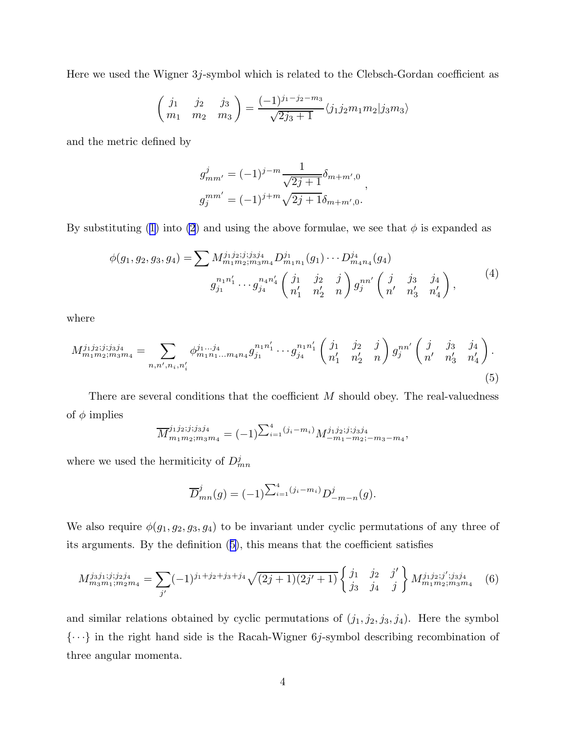<span id="page-4-0"></span>Here we used the Wigner 3j-symbol which is related to the Clebsch-Gordan coefficient as

$$
\begin{pmatrix} j_1 & j_2 & j_3 \ m_1 & m_2 & m_3 \end{pmatrix} = \frac{(-1)^{j_1 - j_2 - m_3}}{\sqrt{2j_3 + 1}} \langle j_1 j_2 m_1 m_2 | j_3 m_3 \rangle
$$

and the metric defined by

$$
g_{mm'}^{j} = (-1)^{j-m} \frac{1}{\sqrt{2j+1}} \delta_{m+m',0} ,
$$
  

$$
g_{j}^{mm'} = (-1)^{j+m} \sqrt{2j+1} \delta_{m+m',0} .
$$

By substituting ([1](#page-3-0)) into [\(2](#page-3-0)) and using the above formulae, we see that  $\phi$  is expanded as

$$
\phi(g_1, g_2, g_3, g_4) = \sum M_{m_1 m_2; m_3 m_4}^{j_1 j_2; j; j_3 j_4} D_{m_1 n_1}^{j_1}(g_1) \cdots D_{m_4 n_4}^{j_4}(g_4)
$$
  

$$
g_{j_1}^{n_1 n'_1} \cdots g_{j_4}^{n_4 n'_4} \begin{pmatrix} j_1 & j_2 & j \\ n'_1 & n'_2 & n \end{pmatrix} g_j^{n n'} \begin{pmatrix} j & j_3 & j_4 \\ n' & n'_3 & n'_4 \end{pmatrix},
$$
<sup>(4)</sup>

where

$$
M_{m_1m_2;m_3m_4}^{j_1j_2;j_1j_3j_4} = \sum_{n,n',n_i,n'_i} \phi_{m_1n_1...m_4n_4}^{j_1...j_4} g_{j_1}^{n_1n'_1} \cdots g_{j_4}^{n_1n'_1} \begin{pmatrix} j_1 & j_2 & j \\ n'_1 & n'_2 & n \end{pmatrix} g_j^{nn'} \begin{pmatrix} j & j_3 & j_4 \\ n' & n'_3 & n'_4 \end{pmatrix}.
$$
\n
$$
(5)
$$

There are several conditions that the coefficient M should obey. The real-valuedness of  $\phi$  implies

$$
\overline{M}^{j_1 j_2; j_1 j_3 j_4}_{m_1 m_2; m_3 m_4} = (-1)^{\sum_{i=1}^4 (j_i - m_i)} M^{j_1 j_2; j_1 j_3 j_4}_{-m_1 - m_2; -m_3 - m_4},
$$

where we used the hermiticity of  $D_{mn}^j$ 

$$
\overline{D}_{mn}^j(g) = (-1)^{\sum_{i=1}^4 (j_i - m_i)} D_{-m-n}^j(g).
$$

We also require  $\phi(g_1, g_2, g_3, g_4)$  to be invariant under cyclic permutations of any three of its arguments. By the definition (5), this means that the coefficient satisfies

$$
M_{m_3m_1;m_2m_4}^{j_3j_1;j_2j_4} = \sum_{j'} (-1)^{j_1+j_2+j_3+j_4} \sqrt{(2j+1)(2j'+1)} \begin{Bmatrix} j_1 & j_2 & j' \\ j_3 & j_4 & j \end{Bmatrix} M_{m_1m_2;m_3m_4}^{j_1j_2;j';j_3j_4} \tag{6}
$$

and similar relations obtained by cyclic permutations of  $(j_1, j_2, j_3, j_4)$ . Here the symbol  $\{\cdots\}$  in the right hand side is the Racah-Wigner 6*j*-symbol describing recombination of three angular momenta.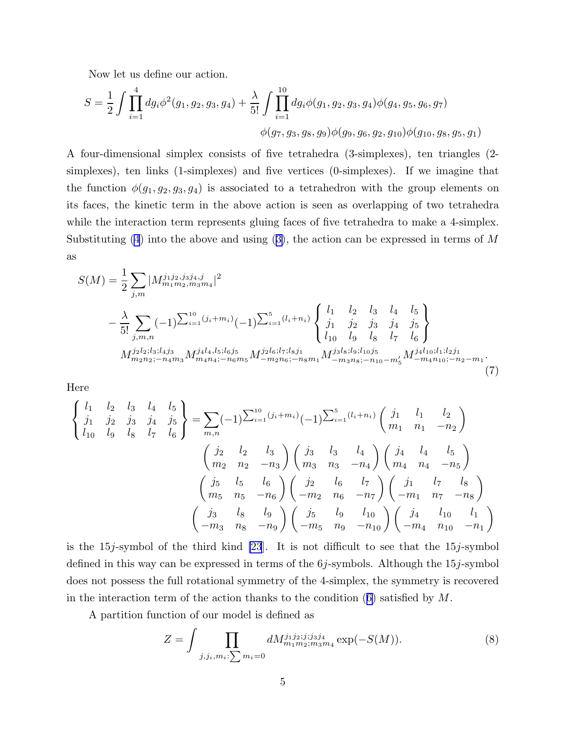<span id="page-5-0"></span>Now let us define our action.

$$
S = \frac{1}{2} \int \prod_{i=1}^{4} dg_i \phi^2(g_1, g_2, g_3, g_4) + \frac{\lambda}{5!} \int \prod_{i=1}^{10} dg_i \phi(g_1, g_2, g_3, g_4) \phi(g_4, g_5, g_6, g_7)
$$
  

$$
\phi(g_7, g_3, g_8, g_9) \phi(g_9, g_6, g_2, g_{10}) \phi(g_{10}, g_8, g_5, g_1)
$$

A four-dimensional simplex consists of five tetrahedra (3-simplexes), ten triangles (2 simplexes), ten links (1-simplexes) and five vertices (0-simplexes). If we imagine that the function  $\phi(g_1, g_2, g_3, g_4)$  is associated to a tetrahedron with the group elements on its faces, the kinetic term in the above action is seen as overlapping of two tetrahedra while the interaction term represents gluing faces of five tetrahedra to make a 4-simplex. Substituting  $(4)$  $(4)$  into the above and using  $(3)$  $(3)$ , the action can be expressed in terms of M as

$$
S(M) = \frac{1}{2} \sum_{j,m} |M_{m_1 m_2, m_3 m_4}^{j_1 j_2, j_3 j_4, j}|^2
$$
  
 
$$
- \frac{\lambda}{5!} \sum_{j,m,n} (-1)^{\sum_{i=1}^{10} (j_i + m_i)} (-1)^{\sum_{i=1}^{5} (l_i + n_i)} \begin{cases} l_1 & l_2 & l_3 & l_4 & l_5 \ j_1 & j_2 & j_3 & j_4 & j_5 \ l_{10} & l_9 & l_8 & l_7 & l_6 \end{cases}
$$
  
\n
$$
M_{m_2 n_2; -n_4 m_3}^{j_2 l_2; l_3; l_4 j_3} M_{m_4 n_4; -n_6 m_5}^{j_4 l_4, l_5; l_6 j_5} M_{-m_2 n_6; -n_8 m_1}^{j_2 l_6; l_7; l_8 j_1} M_{-m_3 n_8; -n_{10} - m_5'}^{j_3 l_8; l_9; l_{10} j_5} M_{-m_4 n_{10}; -n_2 - m_1}^{j_4 l_{10}; l_1; l_2 j_1}
$$
  
\n(7)

Here

$$
\begin{Bmatrix}\n l_1 & l_2 & l_3 & l_4 & l_5 \\
j_1 & j_2 & j_3 & j_4 & j_5 \\
l_{10} & l_9 & l_8 & l_7 & l_6\n\end{Bmatrix} = \sum_{m,n} (-1)^{\sum_{i=1}^{10} (j_i + m_i)} (-1)^{\sum_{i=1}^{5} (l_i + n_i)} \begin{pmatrix}\n j_1 & l_1 & l_2 \\
m_1 & n_1 & -n_2\n\end{pmatrix}
$$
\n
$$
\begin{pmatrix}\n j_2 & l_2 & l_3 \\
m_2 & n_2 & -n_3\n\end{pmatrix}\n \begin{pmatrix}\n j_3 & l_3 & l_4 \\
m_3 & n_3 & -n_4\n\end{pmatrix}\n \begin{pmatrix}\n j_4 & l_4 & l_5 \\
m_4 & n_4 & -n_5\n\end{pmatrix}
$$
\n
$$
\begin{pmatrix}\n j_5 & l_5 & l_6 \\
m_5 & n_5 & -n_6\n\end{pmatrix}\n \begin{pmatrix}\n j_2 & l_6 & l_7 \\
-m_2 & n_6 & -n_7\n\end{pmatrix}\n \begin{pmatrix}\n j_1 & l_7 & l_8 \\
-m_1 & n_7 & -n_8\n\end{pmatrix}
$$
\n
$$
\begin{pmatrix}\n j_3 & l_8 & l_9 \\
-m_3 & n_8 & -n_9\n\end{pmatrix}\n \begin{pmatrix}\n j_5 & l_9 & l_{10} \\
-m_5 & n_9 & -n_{10}\n\end{pmatrix}\n \begin{pmatrix}\n j_4 & l_{10} & l_1 \\
-m_4 & n_{10} & -n_1\n\end{pmatrix}
$$

is the  $15j$ -symbol of the third kind [\[23](#page-13-0)]. It is not difficult to see that the  $15j$ -symbol defined in this way can be expressed in terms of the  $6j$ -symbols. Although the  $15j$ -symbol does not possess the full rotational symmetry of the 4-simplex, the symmetry is recovered in the interaction term of the action thanks to the condition  $(6)$  $(6)$  satisfied by M.

A partition function of our model is defined as

$$
Z = \int \prod_{j,j,i,m_i:\sum m_i=0} dM_{m_1m_2;m_3m_4}^{j_1j_2;j,j_3j_4} \exp(-S(M)).
$$
 (8)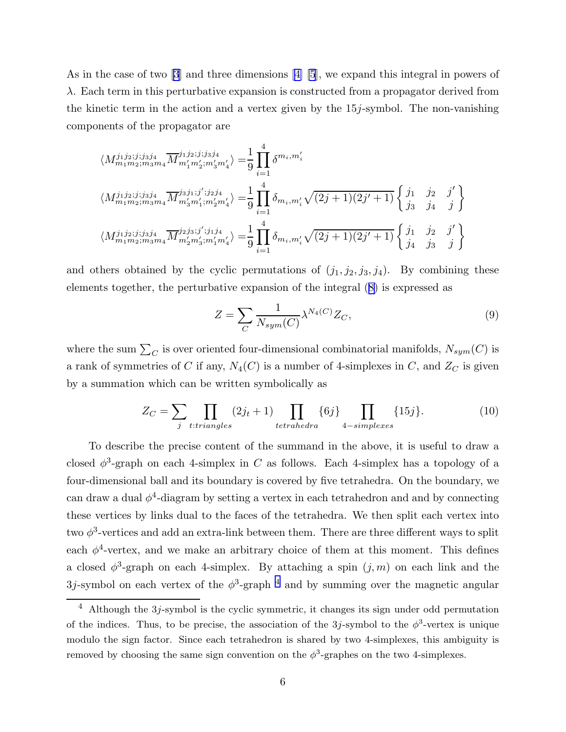<span id="page-6-0"></span>As in the case of two[[3](#page-13-0)] and three dimensions[[4\] \[5](#page-13-0)], we expand this integral in powers of λ. Each term in this perturbative expansion is constructed from a propagator derived from the kinetic term in the action and a vertex given by the 15j-symbol. The non-vanishing components of the propagator are

$$
\langle M_{m_1m_2;m_3m_4}^{j_1j_2; j; j_3j_4} \overline{M}_{m'_1m'_2;m'_3m'_4}^{j_1j_2; j; j_3j_4} \rangle = \frac{1}{9} \prod_{i=1}^4 \delta^{m_i, m'_i}
$$
  

$$
\langle M_{m_1m_2;m_3m_4}^{j_1j_2; j; j_3j_4} \overline{M}_{m'_3m'_1;m'_2m'_4}^{j_3j_1; j'; j_2j_4} \rangle = \frac{1}{9} \prod_{i=1}^4 \delta_{m_i,m'_i} \sqrt{(2j+1)(2j'+1)} \begin{cases} j_1 & j_2 & j' \\ j_3 & j_4 & j \end{cases}
$$
  

$$
\langle M_{m_1m_2;m_3m_4}^{j_1j_2; j; j_3j_4} \overline{M}_{m'_2m'_3;m'_1m'_4}^{j_2j_3; j'; j_1j_4} \rangle = \frac{1}{9} \prod_{i=1}^4 \delta_{m_i,m'_i} \sqrt{(2j+1)(2j'+1)} \begin{cases} j_1 & j_2 & j' \\ j_4 & j_3 & j \end{cases}
$$

and others obtained by the cyclic permutations of  $(j_1, j_2, j_3, j_4)$ . By combining these elements together, the perturbative expansion of the integral ([8\)](#page-5-0) is expressed as

$$
Z = \sum_{C} \frac{1}{N_{sym}(C)} \lambda^{N_4(C)} Z_C,
$$
\n(9)

where the sum  $\sum_C$  is over oriented four-dimensional combinatorial manifolds,  $N_{sym}(C)$  is a rank of symmetries of C if any,  $N_4(C)$  is a number of 4-simplexes in C, and  $Z_C$  is given by a summation which can be written symbolically as

$$
Z_C = \sum_{j} \prod_{t: triangles} (2j_t + 1) \prod_{tetrahedra} \{6j\} \prod_{4-simplexes} \{15j\}.
$$
 (10)

To describe the precise content of the summand in the above, it is useful to draw a closed  $\phi^3$ -graph on each 4-simplex in C as follows. Each 4-simplex has a topology of a four-dimensional ball and its boundary is covered by five tetrahedra. On the boundary, we can draw a dual  $\phi^4$ -diagram by setting a vertex in each tetrahedron and and by connecting these vertices by links dual to the faces of the tetrahedra. We then split each vertex into two  $\phi^3$ -vertices and add an extra-link between them. There are three different ways to split each  $\phi^4$ -vertex, and we make an arbitrary choice of them at this moment. This defines a closed  $\phi^3$ -graph on each 4-simplex. By attaching a spin  $(j, m)$  on each link and the  $3j$ -symbol on each vertex of the  $\phi^3$ -graph <sup>4</sup> and by summing over the magnetic angular

<sup>4</sup> Although the 3j-symbol is the cyclic symmetric, it changes its sign under odd permutation of the indices. Thus, to be precise, the association of the 3j-symbol to the  $\phi^3$ -vertex is unique modulo the sign factor. Since each tetrahedron is shared by two 4-simplexes, this ambiguity is removed by choosing the same sign convention on the  $\phi^3$ -graphes on the two 4-simplexes.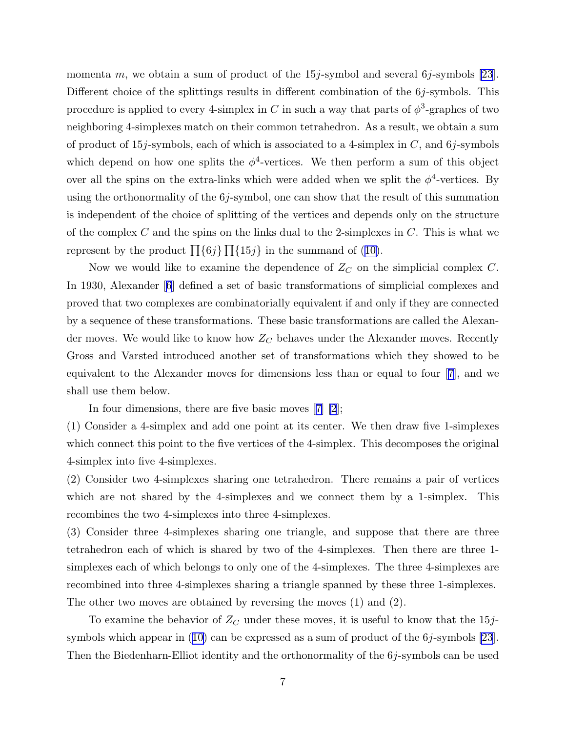momenta m, we obtain a sum of product of the  $15j$ -symbol and several  $6j$ -symbols [\[23](#page-13-0)]. Different choice of the splittings results in different combination of the  $6j$ -symbols. This procedure is applied to every 4-simplex in C in such a way that parts of  $\phi^3$ -graphes of two neighboring 4-simplexes match on their common tetrahedron. As a result, we obtain a sum of product of 15*j*-symbols, each of which is associated to a 4-simplex in  $C$ , and 6*j*-symbols which depend on how one splits the  $\phi^4$ -vertices. We then perform a sum of this object over all the spins on the extra-links which were added when we split the  $\phi^4$ -vertices. By using the orthonormality of the  $6j$ -symbol, one can show that the result of this summation is independent of the choice of splitting of the vertices and depends only on the structure of the complex C and the spins on the links dual to the 2-simplexes in  $C$ . This is what we represent by the product  $\prod_{i} \{6j\} \prod_{i} \{15j\}$  in the summand of ([10\)](#page-6-0).

Now we would like to examine the dependence of  $Z_C$  on the simplicial complex C. In 1930, Alexander[[6](#page-13-0)] defined a set of basic transformations of simplicial complexes and proved that two complexes are combinatorially equivalent if and only if they are connected by a sequence of these transformations. These basic transformations are called the Alexander moves. We would like to know how  $Z_C$  behaves under the Alexander moves. Recently Gross and Varsted introduced another set of transformations which they showed to be equivalent to the Alexander moves for dimensions less than or equal to four[[7\]](#page-13-0), and we shall use them below.

In four dimensions, there are five basic moves[[7\] \[2](#page-13-0)];

(1) Consider a 4-simplex and add one point at its center. We then draw five 1-simplexes which connect this point to the five vertices of the 4-simplex. This decomposes the original 4-simplex into five 4-simplexes.

(2) Consider two 4-simplexes sharing one tetrahedron. There remains a pair of vertices which are not shared by the 4-simplexes and we connect them by a 1-simplex. This recombines the two 4-simplexes into three 4-simplexes.

(3) Consider three 4-simplexes sharing one triangle, and suppose that there are three tetrahedron each of which is shared by two of the 4-simplexes. Then there are three 1 simplexes each of which belongs to only one of the 4-simplexes. The three 4-simplexes are recombined into three 4-simplexes sharing a triangle spanned by these three 1-simplexes. The other two moves are obtained by reversing the moves (1) and (2).

To examine the behavior of  $Z_C$  under these moves, it is useful to know that the 15jsymbols which appear in ([10\)](#page-6-0) can be expressed as a sum of product of the 6j-symbols [\[23](#page-13-0)]. Then the Biedenharn-Elliot identity and the orthonormality of the  $6j$ -symbols can be used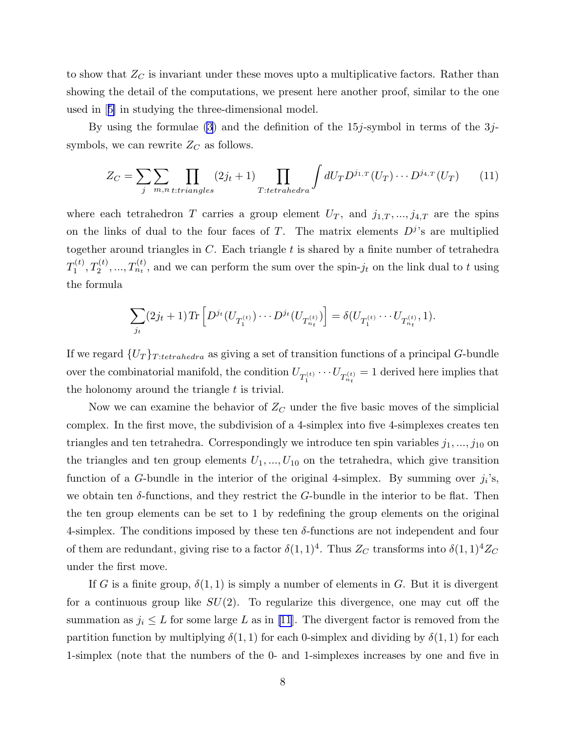<span id="page-8-0"></span>to show that  $Z_C$  is invariant under these moves upto a multiplicative factors. Rather than showing the detail of the computations, we present here another proof, similar to the one used in[[5\]](#page-13-0) in studying the three-dimensional model.

By using the formulae  $(3)$  $(3)$  and the definition of the 15*j*-symbol in terms of the 3*j*symbols, we can rewrite  $Z_C$  as follows.

$$
Z_C = \sum_{j} \sum_{m,n \text{ } t: triangles} (2j_t + 1) \prod_{T: tetrahedra} \int dU_T D^{j_{1,T}}(U_T) \cdots D^{j_{4,T}}(U_T) \qquad (11)
$$

where each tetrahedron T carries a group element  $U_T$ , and  $j_{1,T},...,j_{4,T}$  are the spins on the links of dual to the four faces of T. The matrix elements  $D^{j}$ 's are multiplied together around triangles in  $C$ . Each triangle  $t$  is shared by a finite number of tetrahedra  $T_1^{(t)}$  $T_1^{(t)}, T_2^{(t)}, ..., T_{n_t}^{(t)}$ , and we can perform the sum over the spin- $j_t$  on the link dual to t using the formula

$$
\sum_{j_t} (2j_t+1) \text{Tr} \left[ D^{j_t}(U_{T_1^{(t)}}) \cdots D^{j_t}(U_{T_{n_t}^{(t)}}) \right] = \delta(U_{T_1^{(t)}} \cdots U_{T_{n_t}^{(t)}}, 1).
$$

If we regard  $\{U_T\}_{T:tetrahedra}$  as giving a set of transition functions of a principal G-bundle over the combinatorial manifold, the condition  $U_{T_1^{(t)}} \cdots U_{T_{n_t}^{(t)}} = 1$  derived here implies that the holonomy around the triangle  $t$  is trivial.

Now we can examine the behavior of  $Z_C$  under the five basic moves of the simplicial complex. In the first move, the subdivision of a 4-simplex into five 4-simplexes creates ten triangles and ten tetrahedra. Correspondingly we introduce ten spin variables  $j_1, ..., j_{10}$  on the triangles and ten group elements  $U_1, ..., U_{10}$  on the tetrahedra, which give transition function of a G-bundle in the interior of the original 4-simplex. By summing over  $j_i$ 's, we obtain ten  $\delta$ -functions, and they restrict the G-bundle in the interior to be flat. Then the ten group elements can be set to 1 by redefining the group elements on the original 4-simplex. The conditions imposed by these ten  $\delta$ -functions are not independent and four of them are redundant, giving rise to a factor  $\delta(1,1)^4$ . Thus  $Z_C$  transforms into  $\delta(1,1)^4 Z_C$ under the first move.

If G is a finite group,  $\delta(1,1)$  is simply a number of elements in G. But it is divergent for a continuous group like  $SU(2)$ . To regularize this divergence, one may cut off the summation as  $j_i \leq L$  for some large L as in [\[11](#page-13-0)]. The divergent factor is removed from the partition function by multiplying  $\delta(1,1)$  for each 0-simplex and dividing by  $\delta(1,1)$  for each 1-simplex (note that the numbers of the 0- and 1-simplexes increases by one and five in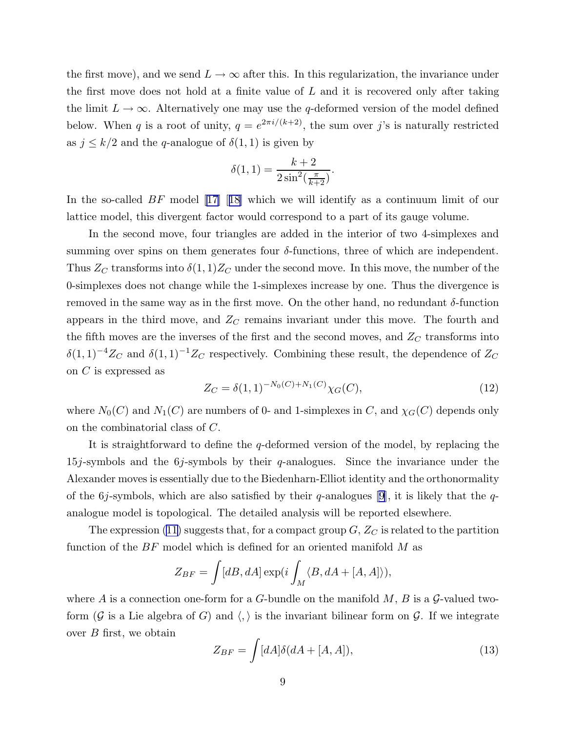<span id="page-9-0"></span>the first move), and we send  $L \to \infty$  after this. In this regularization, the invariance under the first move does not hold at a finite value of  $L$  and it is recovered only after taking the limit  $L \to \infty$ . Alternatively one may use the q-deformed version of the model defined below. When q is a root of unity,  $q = e^{2\pi i/(k+2)}$ , the sum over j's is naturally restricted as  $j \leq k/2$  and the q-analogue of  $\delta(1,1)$  is given by

$$
\delta(1,1) = \frac{k+2}{2\sin^2(\frac{\pi}{k+2})}.
$$

Inthe so-called BF model [[17\]](#page-13-0) [[18\]](#page-13-0) which we will identify as a continuum limit of our lattice model, this divergent factor would correspond to a part of its gauge volume.

In the second move, four triangles are added in the interior of two 4-simplexes and summing over spins on them generates four  $\delta$ -functions, three of which are independent. Thus  $Z_C$  transforms into  $\delta(1,1)Z_C$  under the second move. In this move, the number of the 0-simplexes does not change while the 1-simplexes increase by one. Thus the divergence is removed in the same way as in the first move. On the other hand, no redundant δ-function appears in the third move, and  $Z_C$  remains invariant under this move. The fourth and the fifth moves are the inverses of the first and the second moves, and  $Z_C$  transforms into  $\delta(1,1)^{-4}Z_C$  and  $\delta(1,1)^{-1}Z_C$  respectively. Combining these result, the dependence of  $Z_C$ on C is expressed as

$$
Z_C = \delta(1,1)^{-N_0(C) + N_1(C)} \chi_G(C),\tag{12}
$$

where  $N_0(C)$  and  $N_1(C)$  are numbers of 0- and 1-simplexes in C, and  $\chi_G(C)$  depends only on the combinatorial class of C.

It is straightforward to define the q-deformed version of the model, by replacing the 15j-symbols and the 6j-symbols by their  $q$ -analogues. Since the invariance under the Alexander moves is essentially due to the Biedenharn-Elliot identity and the orthonormality of the 6*j*-symbols, which are also satisfied by their q-analogues [\[9](#page-13-0)], it is likely that the qanalogue model is topological. The detailed analysis will be reported elsewhere.

The expression [\(11](#page-8-0)) suggests that, for a compact group  $G, Z_C$  is related to the partition function of the  $BF$  model which is defined for an oriented manifold M as

$$
Z_{BF} = \int [dB, dA] \exp(i \int_M \langle B, dA + [A, A] \rangle),
$$

where A is a connection one-form for a G-bundle on the manifold  $M$ , B is a G-valued twoform (G is a Lie algebra of G) and  $\langle, \rangle$  is the invariant bilinear form on G. If we integrate over  $B$  first, we obtain

$$
Z_{BF} = \int [dA] \delta(dA + [A, A]), \qquad (13)
$$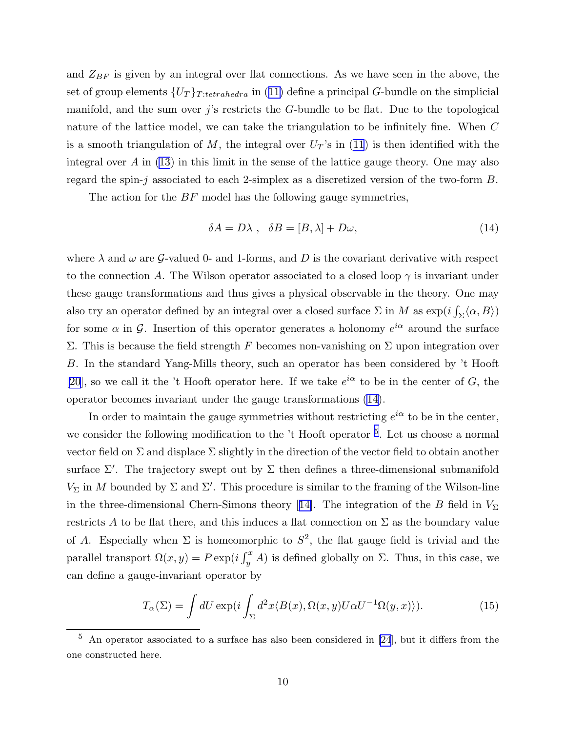<span id="page-10-0"></span>and  $Z_{BF}$  is given by an integral over flat connections. As we have seen in the above, the set of group elements  $\{U_T\}_{T:tetrahedra}$  in ([11\)](#page-8-0) define a principal G-bundle on the simplicial manifold, and the sum over  $j$ 's restricts the  $G$ -bundle to be flat. Due to the topological nature of the lattice model, we can take the triangulation to be infinitely fine. When C is a smooth triangulation of M, the integral over  $U_T$ 's in [\(11](#page-8-0)) is then identified with the integral over  $A$  in [\(13](#page-9-0)) in this limit in the sense of the lattice gauge theory. One may also regard the spin-j associated to each 2-simplex as a discretized version of the two-form B.

The action for the  $BF$  model has the following gauge symmetries,

$$
\delta A = D\lambda \,, \quad \delta B = [B, \lambda] + D\omega,\tag{14}
$$

where  $\lambda$  and  $\omega$  are G-valued 0- and 1-forms, and D is the covariant derivative with respect to the connection A. The Wilson operator associated to a closed loop  $\gamma$  is invariant under these gauge transformations and thus gives a physical observable in the theory. One may also try an operator defined by an integral over a closed surface  $\Sigma$  in  $M$  as  $\exp(i\int_{\Sigma} \langle \alpha, B \rangle)$ for some  $\alpha$  in  $\mathcal{G}$ . Insertion of this operator generates a holonomy  $e^{i\alpha}$  around the surface Σ. This is because the field strength F becomes non-vanishing on Σ upon integration over B. In the standard Yang-Mills theory, such an operator has been considered by 't Hooft [\[20](#page-13-0)], so we call it the 't Hooft operator here. If we take  $e^{i\alpha}$  to be in the center of G, the operator becomes invariant under the gauge transformations (14).

In order to maintain the gauge symmetries without restricting  $e^{i\alpha}$  to be in the center, we consider the following modification to the 't Hooft operator <sup>5</sup>. Let us choose a normal vector field on  $\Sigma$  and displace  $\Sigma$  slightly in the direction of the vector field to obtain another surface  $\Sigma'$ . The trajectory swept out by  $\Sigma$  then defines a three-dimensional submanifold  $V_{\Sigma}$  in M bounded by  $\Sigma$  and  $\Sigma'$ . This procedure is similar to the framing of the Wilson-line inthe three-dimensional Chern-Simons theory [[14\]](#page-13-0). The integration of the B field in  $V_{\Sigma}$ restricts A to be flat there, and this induces a flat connection on  $\Sigma$  as the boundary value of A. Especially when  $\Sigma$  is homeomorphic to  $S^2$ , the flat gauge field is trivial and the parallel transport  $\Omega(x, y) = P \exp(i \int_y^x A)$  is defined globally on  $\Sigma$ . Thus, in this case, we can define a gauge-invariant operator by

$$
T_{\alpha}(\Sigma) = \int dU \exp(i \int_{\Sigma} d^2x \langle B(x), \Omega(x, y) U \alpha U^{-1} \Omega(y, x) \rangle).
$$
 (15)

 $5$  An operator associated to a surface has also been considered in [\[24](#page-14-0)], but it differs from the one constructed here.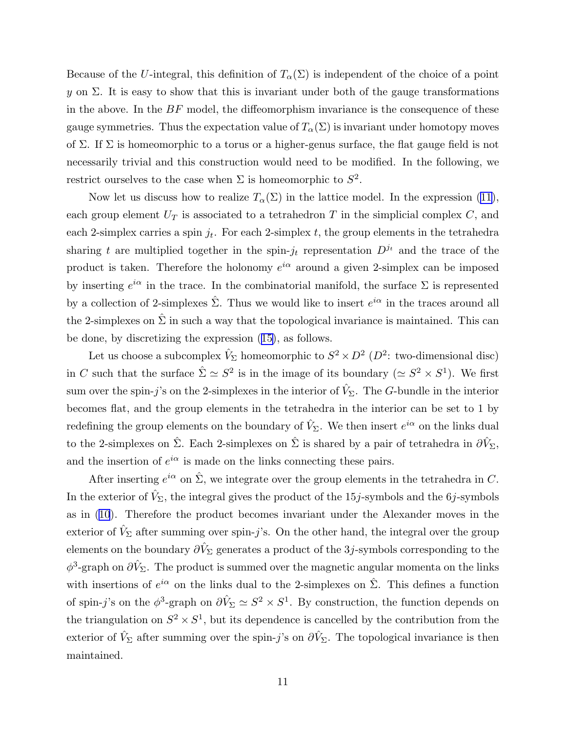Because of the U-integral, this definition of  $T_{\alpha}(\Sigma)$  is independent of the choice of a point y on  $\Sigma$ . It is easy to show that this is invariant under both of the gauge transformations in the above. In the  $BF$  model, the diffeomorphism invariance is the consequence of these gauge symmetries. Thus the expectation value of  $T_{\alpha}(\Sigma)$  is invariant under homotopy moves of Σ. If Σ is homeomorphic to a torus or a higher-genus surface, the flat gauge field is not necessarily trivial and this construction would need to be modified. In the following, we restrict ourselves to the case when  $\Sigma$  is homeomorphic to  $S^2$ .

Now let us discuss how to realize  $T_{\alpha}(\Sigma)$  in the lattice model. In the expression [\(11](#page-8-0)), each group element  $U_T$  is associated to a tetrahedron T in the simplicial complex C, and each 2-simplex carries a spin  $j_t$ . For each 2-simplex t, the group elements in the tetrahedra sharing t are multiplied together in the spin- $j_t$  representation  $D^{j_t}$  and the trace of the product is taken. Therefore the holonomy  $e^{i\alpha}$  around a given 2-simplex can be imposed by inserting  $e^{i\alpha}$  in the trace. In the combinatorial manifold, the surface  $\Sigma$  is represented by a collection of 2-simplexes  $\hat{\Sigma}$ . Thus we would like to insert  $e^{i\alpha}$  in the traces around all the 2-simplexes on  $\hat{\Sigma}$  in such a way that the topological invariance is maintained. This can be done, by discretizing the expression ([15\)](#page-10-0), as follows.

Let us choose a subcomplex  $\hat{V}_{\Sigma}$  homeomorphic to  $S^2 \times D^2$  ( $D^2$ : two-dimensional disc) in C such that the surface  $\hat{\Sigma} \simeq S^2$  is in the image of its boundary  $(\simeq S^2 \times S^1)$ . We first sum over the spin-j's on the 2-simplexes in the interior of  $\hat{V}_{\Sigma}$ . The G-bundle in the interior becomes flat, and the group elements in the tetrahedra in the interior can be set to 1 by redefining the group elements on the boundary of  $\hat{V}_{\Sigma}$ . We then insert  $e^{i\alpha}$  on the links dual to the 2-simplexes on  $\hat{\Sigma}$ . Each 2-simplexes on  $\hat{\Sigma}$  is shared by a pair of tetrahedra in  $\partial \hat{V}_{\Sigma}$ , and the insertion of  $e^{i\alpha}$  is made on the links connecting these pairs.

After inserting  $e^{i\alpha}$  on  $\hat{\Sigma}$ , we integrate over the group elements in the tetrahedra in C. In the exterior of  $V_{\Sigma}$ , the integral gives the product of the 15*j*-symbols and the 6*j*-symbols as in [\(10](#page-6-0)). Therefore the product becomes invariant under the Alexander moves in the exterior of  $\hat{V}_{\Sigma}$  after summing over spin-j's. On the other hand, the integral over the group elements on the boundary  $\partial \hat{V}_{\Sigma}$  generates a product of the 3*j*-symbols corresponding to the  $\phi^3$ -graph on  $\partial \hat{V}_\Sigma$ . The product is summed over the magnetic angular momenta on the links with insertions of  $e^{i\alpha}$  on the links dual to the 2-simplexes on  $\hat{\Sigma}$ . This defines a function of spin-j's on the  $\phi^3$ -graph on  $\partial \hat{V}_\Sigma \simeq S^2 \times S^1$ . By construction, the function depends on the triangulation on  $S^2 \times S^1$ , but its dependence is cancelled by the contribution from the exterior of  $\hat{V}_{\Sigma}$  after summing over the spin-j's on  $\partial \hat{V}_{\Sigma}$ . The topological invariance is then maintained.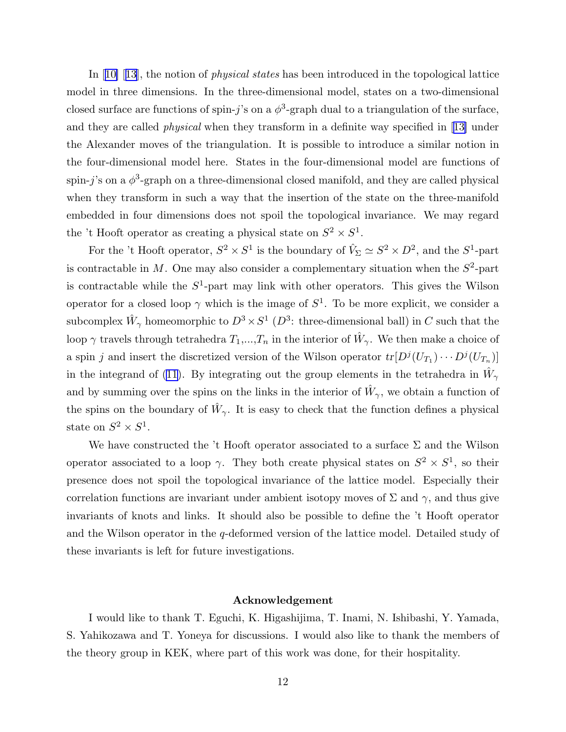In[[10\]](#page-13-0) [[13\]](#page-13-0), the notion of *physical states* has been introduced in the topological lattice model in three dimensions. In the three-dimensional model, states on a two-dimensional closed surface are functions of spin-j's on a  $\phi^3$ -graph dual to a triangulation of the surface, and they are called physical when they transform in a definite way specified in[[13\]](#page-13-0) under the Alexander moves of the triangulation. It is possible to introduce a similar notion in the four-dimensional model here. States in the four-dimensional model are functions of spin-j's on a  $\phi^3$ -graph on a three-dimensional closed manifold, and they are called physical when they transform in such a way that the insertion of the state on the three-manifold embedded in four dimensions does not spoil the topological invariance. We may regard the 't Hooft operator as creating a physical state on  $S^2 \times S^1$ .

For the 't Hooft operator,  $S^2 \times S^1$  is the boundary of  $\hat{V}_\Sigma \simeq S^2 \times D^2$ , and the  $S^1$ -part is contractable in M. One may also consider a complementary situation when the  $S^2$ -part is contractable while the  $S^1$ -part may link with other operators. This gives the Wilson operator for a closed loop  $\gamma$  which is the image of  $S^1$ . To be more explicit, we consider a subcomplex  $\hat{W}_{\gamma}$  homeomorphic to  $D^3 \times S^1$  ( $D^3$ : three-dimensional ball) in C such that the loop  $\gamma$  travels through tetrahedra  $T_1, ..., T_n$  in the interior of  $\hat{W}_{\gamma}$ . We then make a choice of a spin j and insert the discretized version of the Wilson operator  $tr[D^{j}(U_{T_1}) \cdots D^{j}(U_{T_n})]$ in the integrand of [\(11](#page-8-0)). By integrating out the group elements in the tetrahedra in  $\hat{W}_{\gamma}$ and by summing over the spins on the links in the interior of  $\hat{W}_{\gamma}$ , we obtain a function of the spins on the boundary of  $\hat{W}_{\gamma}$ . It is easy to check that the function defines a physical state on  $S^2 \times S^1$ .

We have constructed the 't Hooft operator associated to a surface  $\Sigma$  and the Wilson operator associated to a loop  $\gamma$ . They both create physical states on  $S^2 \times S^1$ , so their presence does not spoil the topological invariance of the lattice model. Especially their correlation functions are invariant under ambient isotopy moves of  $\Sigma$  and  $\gamma$ , and thus give invariants of knots and links. It should also be possible to define the 't Hooft operator and the Wilson operator in the q-deformed version of the lattice model. Detailed study of these invariants is left for future investigations.

## Acknowledgement

I would like to thank T. Eguchi, K. Higashijima, T. Inami, N. Ishibashi, Y. Yamada, S. Yahikozawa and T. Yoneya for discussions. I would also like to thank the members of the theory group in KEK, where part of this work was done, for their hospitality.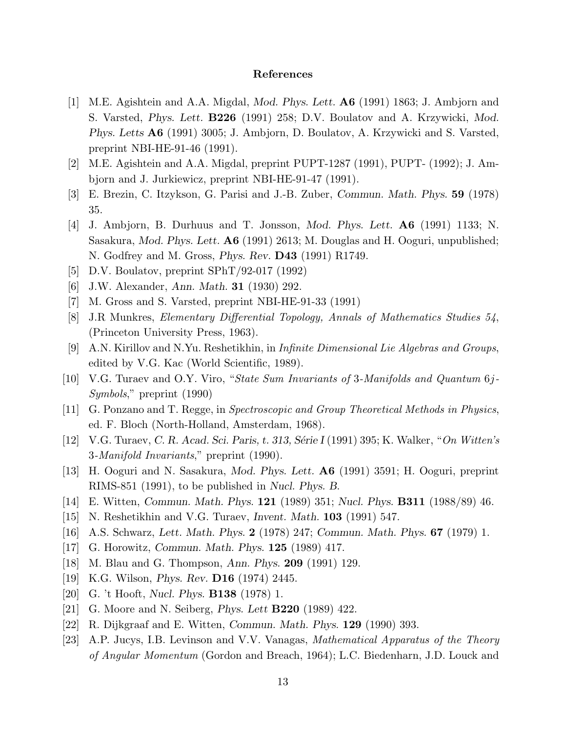## References

- <span id="page-13-0"></span>[1] M.E. Agishtein and A.A. Migdal, Mod. Phys. Lett. A6 (1991) 1863; J. Ambjorn and S. Varsted, Phys. Lett. B226 (1991) 258; D.V. Boulatov and A. Krzywicki, Mod. Phys. Letts A6 (1991) 3005; J. Ambjorn, D. Boulatov, A. Krzywicki and S. Varsted, preprint NBI-HE-91-46 (1991).
- [2] M.E. Agishtein and A.A. Migdal, preprint PUPT-1287 (1991), PUPT- (1992); J. Ambjorn and J. Jurkiewicz, preprint NBI-HE-91-47 (1991).
- [3] E. Brezin, C. Itzykson, G. Parisi and J.-B. Zuber, Commun. Math. Phys. 59 (1978) 35.
- [4] J. Ambjorn, B. Durhuus and T. Jonsson, Mod. Phys. Lett. A6 (1991) 1133; N. Sasakura, Mod. Phys. Lett. A6 (1991) 2613; M. Douglas and H. Ooguri, unpublished; N. Godfrey and M. Gross, *Phys. Rev.* **D43** (1991) R1749.
- [5] D.V. Boulatov, preprint SPhT/92-017 (1992)
- [6] J.W. Alexander, Ann. Math. 31 (1930) 292.
- [7] M. Gross and S. Varsted, preprint NBI-HE-91-33 (1991)
- [8] J.R Munkres, Elementary Differential Topology, Annals of Mathematics Studies 54, (Princeton University Press, 1963).
- [9] A.N. Kirillov and N.Yu. Reshetikhin, in Infinite Dimensional Lie Algebras and Groups, edited by V.G. Kac (World Scientific, 1989).
- [10] V.G. Turaev and O.Y. Viro, "State Sum Invariants of 3-Manifolds and Quantum 6j-Symbols," preprint (1990)
- [11] G. Ponzano and T. Regge, in Spectroscopic and Group Theoretical Methods in Physics, ed. F. Bloch (North-Holland, Amsterdam, 1968).
- [12] V.G. Turaev, C. R. Acad. Sci. Paris, t. 313, Série I (1991) 395; K. Walker, "On Witten's 3-Manifold Invariants," preprint (1990).
- [13] H. Ooguri and N. Sasakura, Mod. Phys. Lett. A6 (1991) 3591; H. Ooguri, preprint RIMS-851 (1991), to be published in Nucl. Phys. B.
- [14] E. Witten, Commun. Math. Phys. 121 (1989) 351; Nucl. Phys. B311 (1988/89) 46.
- [15] N. Reshetikhin and V.G. Turaev, Invent. Math. 103 (1991) 547.
- [16] A.S. Schwarz, Lett. Math. Phys. 2 (1978) 247; Commun. Math. Phys. 67 (1979) 1.
- [17] G. Horowitz, Commun. Math. Phys. 125 (1989) 417.
- [18] M. Blau and G. Thompson, Ann. Phys. 209 (1991) 129.
- [19] K.G. Wilson, Phys. Rev. D16 (1974) 2445.
- [20] G. 't Hooft, Nucl. Phys. B138 (1978) 1.
- [21] G. Moore and N. Seiberg, Phys. Lett B220 (1989) 422.
- [22] R. Dijkgraaf and E. Witten, Commun. Math. Phys. 129 (1990) 393.
- [23] A.P. Jucys, I.B. Levinson and V.V. Vanagas, Mathematical Apparatus of the Theory of Angular Momentum (Gordon and Breach, 1964); L.C. Biedenharn, J.D. Louck and